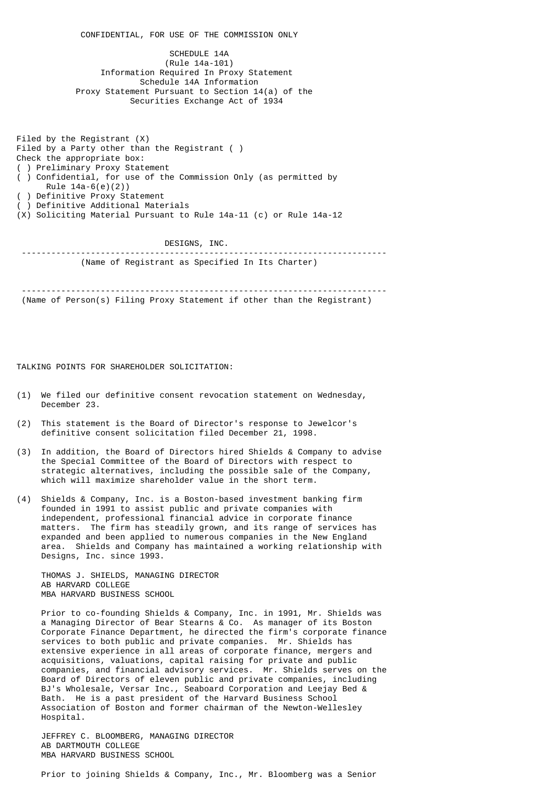CONFIDENTIAL, FOR USE OF THE COMMISSION ONLY SCHEDULE 14A (Rule 14a-101) Information Required In Proxy Statement Schedule 14A Information Proxy Statement Pursuant to Section 14(a) of the Securities Exchange Act of 1934

 Filed by the Registrant (X) Filed by a Party other than the Registrant ( ) Check the appropriate box: ( ) Preliminary Proxy Statement ( ) Confidential, for use of the Commission Only (as permitted by Rule 14a-6(e)(2)) ) Definitive Proxy Statement ) Definitive Additional Materials (X) Soliciting Material Pursuant to Rule 14a-11 (c) or Rule 14a-12

 DESIGNS, INC. -------------------------------------------------------------------------- (Name of Registrant as Specified In Its Charter)

 -------------------------------------------------------------------------- (Name of Person(s) Filing Proxy Statement if other than the Registrant)

TALKING POINTS FOR SHAREHOLDER SOLICITATION:

- (1) We filed our definitive consent revocation statement on Wednesday, December 23.
- (2) This statement is the Board of Director's response to Jewelcor's definitive consent solicitation filed December 21, 1998.
- (3) In addition, the Board of Directors hired Shields & Company to advise the Special Committee of the Board of Directors with respect to strategic alternatives, including the possible sale of the Company, which will maximize shareholder value in the short term.
- (4) Shields & Company, Inc. is a Boston-based investment banking firm founded in 1991 to assist public and private companies with independent, professional financial advice in corporate finance matters. The firm has steadily grown, and its range of services has expanded and been applied to numerous companies in the New England area. Shields and Company has maintained a working relationship with Designs, Inc. since 1993.

 THOMAS J. SHIELDS, MANAGING DIRECTOR AB HARVARD COLLEGE MBA HARVARD BUSINESS SCHOOL

 Prior to co-founding Shields & Company, Inc. in 1991, Mr. Shields was a Managing Director of Bear Stearns & Co. As manager of its Boston Corporate Finance Department, he directed the firm's corporate finance services to both public and private companies. Mr. Shields has extensive experience in all areas of corporate finance, mergers and acquisitions, valuations, capital raising for private and public companies, and financial advisory services. Mr. Shields serves on the Board of Directors of eleven public and private companies, including BJ's Wholesale, Versar Inc., Seaboard Corporation and Leejay Bed & Bath. He is a past president of the Harvard Business School Association of Boston and former chairman of the Newton-Wellesley Hospital.

 JEFFREY C. BLOOMBERG, MANAGING DIRECTOR AB DARTMOUTH COLLEGE MBA HARVARD BUSINESS SCHOOL

Prior to joining Shields & Company, Inc., Mr. Bloomberg was a Senior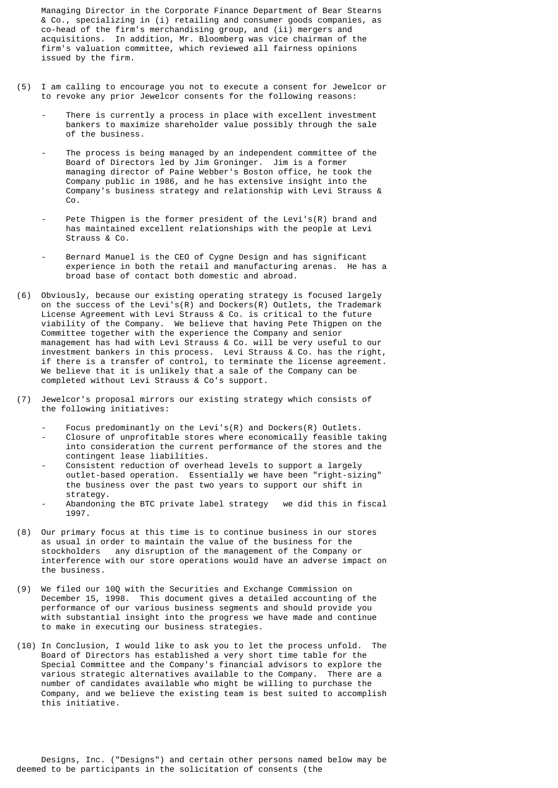Managing Director in the Corporate Finance Department of Bear Stearns & Co., specializing in (i) retailing and consumer goods companies, as co-head of the firm's merchandising group, and (ii) mergers and acquisitions. In addition, Mr. Bloomberg was vice chairman of the firm's valuation committee, which reviewed all fairness opinions issued by the firm.

- (5) I am calling to encourage you not to execute a consent for Jewelcor or to revoke any prior Jewelcor consents for the following reasons:
	- There is currently a process in place with excellent investment bankers to maximize shareholder value possibly through the sale of the business.
	- The process is being managed by an independent committee of the Board of Directors led by Jim Groninger. Jim is a former managing director of Paine Webber's Boston office, he took the Company public in 1986, and he has extensive insight into the Company's business strategy and relationship with Levi Strauss & Co.
	- Pete Thigpen is the former president of the Levi's(R) brand and has maintained excellent relationships with the people at Levi Strauss & Co.
	- Bernard Manuel is the CEO of Cygne Design and has significant experience in both the retail and manufacturing arenas. He has a broad base of contact both domestic and abroad.
- (6) Obviously, because our existing operating strategy is focused largely on the success of the Levi's(R) and Dockers(R) Outlets, the Trademark License Agreement with Levi Strauss & Co. is critical to the future viability of the Company. We believe that having Pete Thigpen on the Committee together with the experience the Company and senior management has had with Levi Strauss & Co. will be very useful to our investment bankers in this process. Levi Strauss & Co. has the right, if there is a transfer of control, to terminate the license agreement. We believe that it is unlikely that a sale of the Company can be completed without Levi Strauss & Co's support.
- (7) Jewelcor's proposal mirrors our existing strategy which consists of the following initiatives:
	- Focus predominantly on the Levi's(R) and Dockers(R) Outlets.
	- Closure of unprofitable stores where economically feasible taking into consideration the current performance of the stores and the contingent lease liabilities.
	- Consistent reduction of overhead levels to support a largely outlet-based operation. Essentially we have been "right-sizing" the business over the past two years to support our shift in strategy.
	- Abandoning the BTC private label strategy we did this in fiscal 1997.
- (8) Our primary focus at this time is to continue business in our stores as usual in order to maintain the value of the business for the stockholders any disruption of the management of the Company or interference with our store operations would have an adverse impact on the business.
- (9) We filed our 10Q with the Securities and Exchange Commission on December 15, 1998. This document gives a detailed accounting of the performance of our various business segments and should provide you with substantial insight into the progress we have made and continue to make in executing our business strategies.
- (10) In Conclusion, I would like to ask you to let the process unfold. The Board of Directors has established a very short time table for the Special Committee and the Company's financial advisors to explore the various strategic alternatives available to the Company. There are a number of candidates available who might be willing to purchase the Company, and we believe the existing team is best suited to accomplish this initiative.